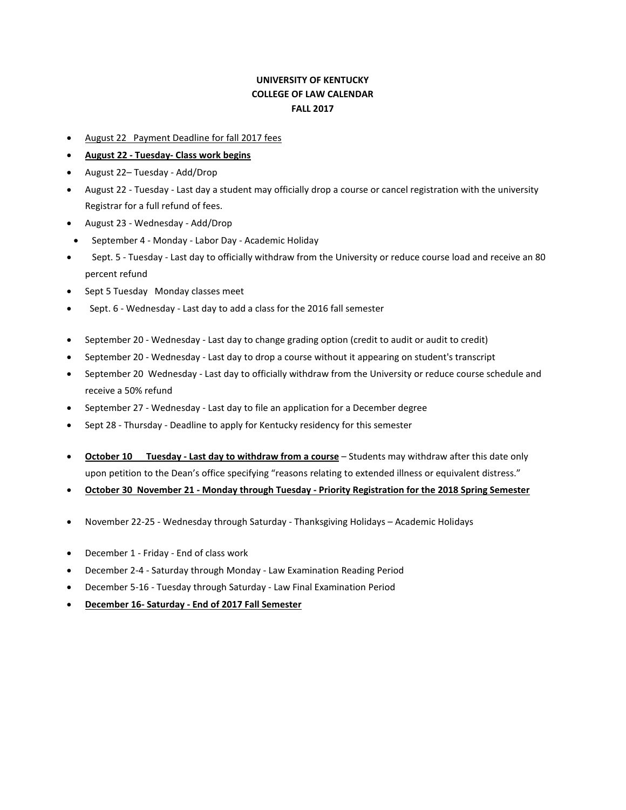## **UNIVERSITY OF KENTUCKY COLLEGE OF LAW CALENDAR FALL 2017**

- August 22 Payment Deadline for fall 2017 fees
- **August 22 - Tuesday- Class work begins**
- August 22– Tuesday Add/Drop
- August 22 Tuesday Last day a student may officially drop a course or cancel registration with the university Registrar for a full refund of fees.
- August 23 Wednesday Add/Drop
- September 4 Monday Labor Day Academic Holiday
- Sept. 5 Tuesday Last day to officially withdraw from the University or reduce course load and receive an 80 percent refund
- Sept 5 Tuesday Monday classes meet
- Sept. 6 Wednesday Last day to add a class for the 2016 fall semester
- September 20 Wednesday Last day to change grading option (credit to audit or audit to credit)
- September 20 Wednesday Last day to drop a course without it appearing on student's transcript
- September 20 Wednesday Last day to officially withdraw from the University or reduce course schedule and receive a 50% refund
- September 27 Wednesday Last day to file an application for a December degree
- Sept 28 Thursday Deadline to apply for Kentucky residency for this semester
- **October 10 Tuesday - Last day to withdraw from a course** Students may withdraw after this date only upon petition to the Dean's office specifying "reasons relating to extended illness or equivalent distress."
- **October 30 November 21 - Monday through Tuesday - Priority Registration for the 2018 Spring Semester**
- November 22-25 Wednesday through Saturday Thanksgiving Holidays Academic Holidays
- December 1 Friday End of class work
- December 2-4 Saturday through Monday Law Examination Reading Period
- December 5-16 Tuesday through Saturday Law Final Examination Period
- **December 16- Saturday - End of 2017 Fall Semester**